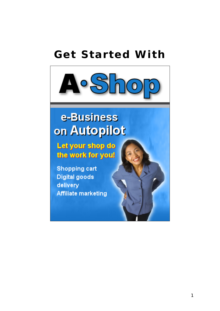## **Get Started With**



# e-Business on Autopilot

Let your shop do the work for you!

**Shopping cart Digital goods** delivery **Affiliate marketing**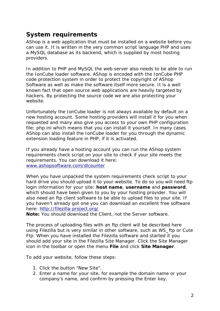## **System requirements**

AShop is a web application that must be installed on a website before you can use it. It is written in the very common script language PHP and uses a MySQL database as its backend, which is supplied by most hosting providers.

In addition to PHP and MySQL the web server also needs to be able to run the IonCube loader software. AShop is encoded with the IonCube PHP code protection system in order to protect the copyright of AShop Software as well as make the software itself more secure. It is a well known fact that open source web applications are heavily targeted by hackers. By protecting the source code we are also protecting your website.

Unfortunately the IonCube loader is not always available by default on a new hosting account. Some hosting providers will install it for you when requested and many also give you access to your own PHP configuration file: php.ini which means that you can install it yourself. In many cases AShop can also install the IonCube loader for you through the dynamic extension loading feature in PHP, if it is activated.

If you already have a hosting account you can run the AShop system requirements check script on your site to check if your site meets the requirements. You can download it here: www.ashopsoftware.com/dlcounter

When you have unpacked the system requirements check script to your hard drive you should upload it to your website. To do so you will need ftp login information for your site: **host name**, **username** and **password**, which should have been given to you by your hosting provider. You will also need an ftp client software to be able to upload files to your site. If you haven't already got one you can download an excellent free software here: http://filezilla-project.org/

**Note:** You should download the Client, not the Server software.

The process of uploading files with an ftp client will be described here using Filezilla but is very similar in other software, such as WS\_ftp or Cute Ftp. When you have installed the Filezilla software and started it you should add your site in the Filezilla Site Manager. Click the Site Manager icon in the toolbar or open the menu **File** and click **Site Manager**.

To add your website, follow these steps:

- 1. Click the button "New Site".
- 2. Enter a name for your site, for example the domain name or your company's name, and confirm by pressing the Enter key.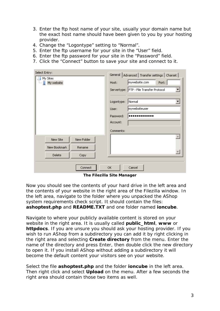- 3. Enter the ftp host name of your site, usually your domain name but the exact host name should have been given to you by your hosting provider.
- 4. Change the "Logontype" setting to "Normal".
- 5. Enter the ftp username for your site in the "User" field.
- 6. Enter the ftp password for your site in the "Password" field.
- 7. Click the "Connect" button to save your site and connect to it.

| Select Entry:          | General   Advanced   Transfer settings   Charset |  |  |  |  |
|------------------------|--------------------------------------------------|--|--|--|--|
| My Sites<br>My website | mywebsite.com<br>Port:<br>Host:                  |  |  |  |  |
|                        | Servertype: FTP - File Transfer Protocol         |  |  |  |  |
|                        | Normal<br>Logontype:                             |  |  |  |  |
|                        | mywebsiteuser<br>User:                           |  |  |  |  |
|                        | Password:                                        |  |  |  |  |
|                        | Account:                                         |  |  |  |  |
|                        | Comments:                                        |  |  |  |  |
| New Folder<br>New Site |                                                  |  |  |  |  |
| New Bookmark<br>Rename |                                                  |  |  |  |  |
| Delete<br>Copy         |                                                  |  |  |  |  |
| Connect                | OK.<br>Cancel                                    |  |  |  |  |

**The Filezilla Site Manager** 

Now you should see the contents of your hard drive in the left area and the contents of your website in the right area of the Filezilla window. In the left area, navigate to the folder where you unpacked the AShop system requirements check script. It should contain the files: **ashoptest.php** and **README.TXT** and one folder named **ioncube**.

Navigate to where your publicly available content is stored on your website in the right area. It is usually called **public\_html**, **www** or **httpdocs**. If you are unsure you should ask your hosting provider. If you wish to run AShop from a subdirectory you can add it by right clicking in the right area and selecting **Create directory** from the menu. Enter the name of the directory and press Enter, then double click the new directory to open it. If you install AShop without adding a subdirectory it will become the default content your visitors see on your website.

Select the file **ashoptest.php** and the folder **ioncube** in the left area. Then right click and select **Upload** on the menu. After a few seconds the right area should contain those two items as well.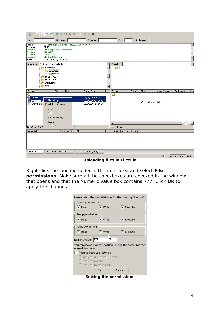| Œ                                                                                      | $\blacktriangleright$<br>$\overrightarrow{a}$<br>※ 13 ※ ク<br>R                                                                                                                             | ERFO                                                                               |                                                                                                  |   |            |                                                   |               |              |                                              |
|----------------------------------------------------------------------------------------|--------------------------------------------------------------------------------------------------------------------------------------------------------------------------------------------|------------------------------------------------------------------------------------|--------------------------------------------------------------------------------------------------|---|------------|---------------------------------------------------|---------------|--------------|----------------------------------------------|
| Host:                                                                                  | Username:                                                                                                                                                                                  | Password:                                                                          | Port:                                                                                            |   |            | $\overline{\phantom{a}}$<br>Quickconnect          |               |              |                                              |
| Response:<br>Command:<br>Response:<br>Response:<br>Response:<br>Response:<br>Response: | 227 Entering Passive Mode (216,227,220,35,207,65)<br><b>MLSD</b><br>150 Accepted data connection<br>226-ASCII<br>226-Options: - a -<br>226 2 matches total<br>Directory listing successful |                                                                                    |                                                                                                  |   |            |                                                   |               |              | $\blacktriangle$<br>$\overline{\phantom{a}}$ |
| Lokal plats:                                                                           | C:\Downloads\ashoptest\<br><b>E</b> -C Downloads<br>ashoptest<br>ioncube<br>FOUND.000<br>FOUND.001<br>Incomplete<br>Logs                                                                   |                                                                                    | $\overline{\phantom{0}}$<br>Fjärrplats:<br>$\overline{\cdot}$<br>-07<br>$\overline{\phantom{a}}$ | H |            |                                                   |               |              | $\overline{\phantom{a}}$                     |
| Filnamn<br>À.,<br>concube<br>ashoptest.php<br><b>E</b> README.txt                      | Filstorlek Filtyp<br>Upload<br>Add files to queue<br>Open<br>Edit<br>Create directory<br>Delete                                                                                            | Senast ändrad<br>25/08/2009 16:39:22<br>05/08/2009 01:39:42<br>09/09/2005 11:18:26 | Filnamn<br>ò.<br>$\blacktriangleleft$                                                            |   | Filstorlek | Filtyp<br><empty directory="" listing=""></empty> | Senast ändrad | Rättigheter  | Äga<br>$\blacktriangleright$                 |
| Selected 1 file and                                                                    | Rename                                                                                                                                                                                     | <sub>kes</sub>                                                                     | Tom katalog.                                                                                     |   |            |                                                   |               |              |                                              |
| Server/Lokal fil<br>Filer i kö                                                         | Riktning<br>Misslyckade överföringar                                                                                                                                                       | Fjärrfil<br>Lyckade överföringar (4)                                               | Storlek Prioritet                                                                                |   | Status     |                                                   |               |              |                                              |
|                                                                                        |                                                                                                                                                                                            |                                                                                    |                                                                                                  |   |            |                                                   | $\mathcal{L}$ | Queue: empty |                                              |

**Uploading files in Filezilla** 

Right click the ioncube folder in the right area and select **File permissions**. Make sure all the checkboxes are checked in the window that opens and that the Numeric value box contains 777. Click **Ok** to apply the changes.

| Please select the new attributes for the directory "ioncube". |                               |                                                                    |  |  |  |  |  |  |
|---------------------------------------------------------------|-------------------------------|--------------------------------------------------------------------|--|--|--|--|--|--|
| Owner permissions                                             |                               |                                                                    |  |  |  |  |  |  |
| $\nabla$ Read                                                 | — <b>⊽</b> Write              | $\nabla$ Execute                                                   |  |  |  |  |  |  |
| Group permissions                                             |                               |                                                                    |  |  |  |  |  |  |
| $\nabla$ Read                                                 | $\overline{\mathbf{v}}$ Write | $\nabla$ Execute                                                   |  |  |  |  |  |  |
| Public permissions                                            |                               |                                                                    |  |  |  |  |  |  |
| $\nabla$ Read                                                 | $\overline{\mathsf{v}}$ Write | $\nabla$ Execute                                                   |  |  |  |  |  |  |
| Numeric value: 777                                            |                               |                                                                    |  |  |  |  |  |  |
| original files have.                                          |                               | You can use an $\times$ at any position to keep the permission the |  |  |  |  |  |  |
| Recurse into subdirectories                                   |                               |                                                                    |  |  |  |  |  |  |
| ◯ Apply to all files and directories                          |                               |                                                                    |  |  |  |  |  |  |
| C Apply to files only                                         |                               |                                                                    |  |  |  |  |  |  |
| C Apply to directories only                                   |                               |                                                                    |  |  |  |  |  |  |
|                                                               | ОК                            | Cancel                                                             |  |  |  |  |  |  |

**Setting file permissions**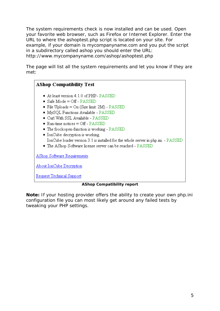The system requirements check is now installed and can be used. Open your favorite web browser, such as Firefox or Internet Explorer. Enter the URL to where the ashoptest.php script is located on your site. For example, if your domain is *mycompanyname.com* and you put the script in a subdirectory called *ashop* you should enter the URL: http://www.mycompanyname.com/ashop/ashoptest.php

The page will list all the system requirements and let you know if they are met:

### **AShop Compatibility Test**

- At least version 4.1.0 of PHP- PASSED
- Safe Mode =  $\overline{OF}$  PASSED
- File Uploads =  $On(Size limit: 2M) PASSED$
- · MySQL Functions Available PASSED
- · Curl With SSL Available PASSED
- $\bullet$  Run-time notices = Off PASSED
- The fsockopen-function is working PASSED
- · IonCube decryption is working. IonCube loader version 3.1 is installed for the whole server in php.ini. - PASSED
- The AShop Software license server can be reached PASSED

AShop Software Requirements

About IonCube Decryption

Request Technical Support

#### **AShop Compatibility report**

**Note:** If your hosting provider offers the ability to create your own php.ini configuration file you can most likely get around any failed tests by tweaking your PHP settings.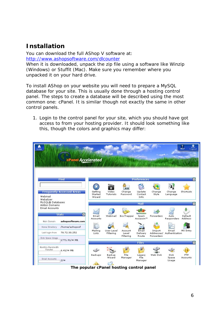### **Installation**

You can download the full AShop V software at: http://www.ashopsoftware.com/dlcounter

When it is downloaded, unpack the zip file using a software like Winzip (Windows) or Stuffit (Mac). Make sure you remember where you unpacked it on your hard drive.

To install AShop on your website you will need to prepare a MySQL database for your site. This is usually done through a hosting control panel. The steps to create a database will be described using the most common one: cPanel. It is similar though not exactly the same in other control panels.

1. Login to the control panel for your site, which you should have got access to from your hosting provider. It should look something like this, though the colors and graphics may differ:

| п<br>home                                                         | cPanel Accelerated                       |                              |                                    |                          |                                                        |                 |                                    | ?<br>詹<br><b>HELP</b><br>Logout |
|-------------------------------------------------------------------|------------------------------------------|------------------------------|------------------------------------|--------------------------|--------------------------------------------------------|-----------------|------------------------------------|---------------------------------|
|                                                                   | Find                                     |                              |                                    |                          | <b>Preferences</b>                                     |                 |                                    |                                 |
| Webmail<br>Webalizer.                                             | <b>Frequently Accessed Areas</b>         | Getting<br>Started<br>Wizard | $a_{\rm tr}$<br>Video<br>Tutorials | **<br>Change<br>Password | Update<br>Contact<br>Info                              | Change<br>Style | Change<br>Language                 | Shortcuts                       |
| MySQL® Databases<br><b>Addon Domains</b><br><b>Email Accounts</b> | <b>Stats</b><br>$\overline{\phantom{a}}$ | Email<br>Accounts            | Webmail                            | BoxTrapper               | Mail<br>SpamAssassin<br>Spam<br>Assassin <sup>TH</sup> | Forwarders      | Auto<br>Responders                 | Default<br>Address              |
| Main Domain                                                       | ashopsoftware.com                        |                              |                                    |                          |                                                        |                 |                                    |                                 |
| Home Directory                                                    | /home/ashopsof                           |                              |                                    |                          |                                                        |                 |                                    |                                 |
| Last login from                                                   | 78.72.30.252                             | Mailing<br>Lists             | User Level<br>Filtering            | Account<br>Level         | Email<br>Delivery                                      | Import:         | Email<br>Addresses/ Authentication | MX Entry                        |
| Disk Space Usage                                                  | 1771.91/00 MB                            |                              |                                    | Filtering                | Route<br><b>Files</b>                                  | Forwarders      |                                    |                                 |
| Monthly Bandwidth<br>Transfer                                     | $6.41/\infty$ MB                         | Backups                      | Backup                             | File                     | Legacy                                                 | Web Disk        | Disk                               | <b>FTP</b>                      |
| Email Accounts                                                    | $2/\infty$                               |                              | Wizard                             | Manager                  | <b>File</b><br>Manager                                 |                 | Space<br>Usage                     | Accounts                        |

**The popular cPanel hosting control panel**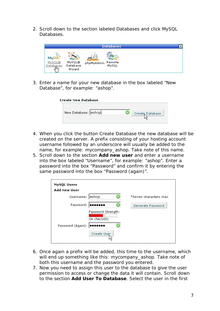2. Scroll down to the section labeled Databases and click MySQL Databases.



3. Enter a name for your new database in the box labeled "New Database", for example: "ashop".

| Create New Database |                 |
|---------------------|-----------------|
| New Database: ashop | Create Database |

- 4. When you click the button Create Database the new database will be created on the server. A prefix consisting of your hosting account username followed by an underscore will usually be added to the name, for example: *mycompany\_ashop*. Take note of this name.
- 5. Scroll down to the section **Add new user** and enter a username into the box labeled "Username", for example: "ashop". Enter a password into the box "Password" and confirm it by entering the same password into the box "Password (again)".

| <b>MySQL Users</b>  |                                   |                       |
|---------------------|-----------------------------------|-----------------------|
| <b>Add New User</b> |                                   |                       |
| Username: ashop     |                                   | *Seven characters max |
| Password:           | œ                                 | Generate Password     |
|                     | Password Strength:<br>OK (54/100) |                       |
| Password (Again):   |                                   |                       |
|                     | Create User                       |                       |

- 6. Once again a prefix will be added, this time to the username, which will end up something like this: *mycompany\_ashop*. Take note of both this username and the password you entered.
- 7. Now you need to assign this user to the database to give the user permission to access or change the data it will contain. Scroll down to the section **Add User To Database**. Select the user in the first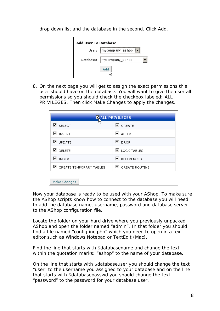drop down list and the database in the second. Click Add.



8. On the next page you will get to assign the exact permissions this user should have on the database. You will want to give the user all permissions so you should check the checkbox labeled: ALL PRIVILEGES. Then click Make Changes to apply the changes.

| <b>KALL PRIVILEGES</b>           |                          |  |  |  |  |  |
|----------------------------------|--------------------------|--|--|--|--|--|
| $\nabla$ select                  | $\nabla$ CREATE          |  |  |  |  |  |
| ⊽<br><b>INSERT</b>               | $\n  ALTER\n$            |  |  |  |  |  |
| $\nabla$ update                  | $\nabla$ DROP            |  |  |  |  |  |
| $\nabla$ delete                  | $\n  E$ lock tables      |  |  |  |  |  |
| $\nabla$ INDEX                   | $\nabla$ references      |  |  |  |  |  |
| <b>■</b> CREATE TEMPORARY TABLES | $\boxdot$ create routine |  |  |  |  |  |
|                                  |                          |  |  |  |  |  |
| Make Changes                     |                          |  |  |  |  |  |

Now your database is ready to be used with your AShop. To make sure the AShop scripts know how to connect to the database you will need to add the database name, username, password and database server to the AShop configuration file.

Locate the folder on your hard drive where you previously unpacked AShop and open the folder named "admin". In that folder you should find a file named "config.inc.php" which you need to open in a text editor such as Windows Notepad or TextEdit (Mac).

Find the line that starts with \$databasename and change the text within the quotation marks: "ashop" to the name of your database.

On the line that starts with \$databaseuser you should change the text "user" to the username you assigned to your database and on the line that starts with \$databasepasswd you should change the text "password" to the password for your database user.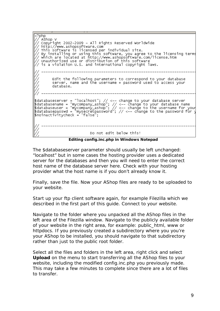php AShop V Copyright 2002-2009 - All Rights Reserved Worldwide http://www.ashopsoftware.com This software is licensed per individual site.<br>By installing or using this software, you agree to the licensing terms<br>which are located at http://www.ashopsoftware.com/license.htm<br>Unauthorized use or distribution of this s is a violation U.S. and international copyright laws. Edit the following parameters to correspond to your database<br>server, name and the username + password used to access your database. \$databaseserver = "localhost"; // <-- change to your database server<br>\$databasename = "mycompany\_ashop"; // <-- change to your database name<br>\$databaseuser = "mycompany\_ashop"; // <-- change to the username for your<br>\$databa Do not edit below this!

**Editing config.inc.php in Windows Notepad**

The \$databaseserver parameter should usually be left unchanged: "localhost" but in some cases the hosting provider uses a dedicated server for the databases and then you will need to enter the correct host name of the database server here. Check with your hosting provider what the host name is if you don't already know it.

Finally, save the file. Now your AShop files are ready to be uploaded to your website.

Start up your ftp client software again, for example Filezilla which we described in the first part of this guide. Connect to your website.

Navigate to the folder where you unpacked all the AShop files in the left area of the Filezilla window. Navigate to the publicly available folder of your website in the right area, for example: public\_html, www or httpdocs. If you previously created a subdirectory where you you're your AShop to be installed, you should navigate to that subdirectory rather than just to the public root folder.

Select all the files and folders in the left area, right click and select **Upload** on the menu to start transferring all the AShop files to your website, including the modified config.inc.php you previously made. This may take a few minutes to complete since there are a lot of files to transfer.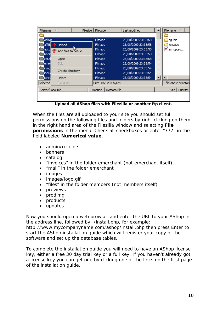| Filename<br>Filesize         | Filetype                 | Last modified       | Filename                |
|------------------------------|--------------------------|---------------------|-------------------------|
|                              |                          |                     | —1.                     |
| admin.                       | Filmapp                  | 23/08/2009 23:33:58 | <b>h</b> cgi-bin        |
| affilid<br>Upload            | Filmapp                  | 23/08/2009 23:33:58 | hioncube                |
| auto <br>Add files to due ue | <b>Filmapp</b>           | 23/08/2009 23:33:50 | <sup>e</sup> l ashoptes |
| band                         | <b>Filmapp</b>           | 23/08/2009 23:33:58 |                         |
| catal<br>Open                | Filmapp                  | 23/08/2009 23:33:58 |                         |
| Edit.<br>emer                | Filmapp                  | 23/08/2009 23:33:54 |                         |
| imagl                        | <b>Filmapp</b>           | 23/08/2009 23:33:54 |                         |
| Create directory<br>linclui  | <b>Filmapp</b>           | 23/08/2009 23:33:54 |                         |
| lioncy<br>Delete             | <b>Filmapp</b>           | 23/08/2009 23:33:54 |                         |
| Selected<br>Rename           | size: 865 237 bytes      |                     | 1 file and 2 directori  |
| Server/Local file            | Remote file<br>Direction |                     | Priority<br><b>Size</b> |
|                              |                          |                     |                         |
|                              |                          |                     |                         |

**Upload all AShop files with Filezilla or another ftp client.** 

When the files are all uploaded to your site you should set full permissions on the following files and folders by right clicking on them in the right hand area of the Filezilla window and selecting **File permissions** in the menu. Check all checkboxes or enter "777" in the field labeled **Numerical value**.

- admin/receipts
- banners
- catalog
- "invoices" in the folder emerchant (not emerchant itself)
- "mail" in the folder emerchant
- images
- images/logo.gif
- "files" in the folder members (not members itself)
- previews
- prodimg
- products
- updates

Now you should open a web browser and enter the URL to your AShop in the address line, followed by: /install.php, for example:

http://www.mycompanyname.com/ashop/install.php then press Enter to start the AShop installation guide which will register your copy of the software and set up the database tables.

To complete the installation guide you will need to have an AShop license key, either a free 30 day trial key or a full key. If you haven't already got a license key you can get one by clicking one of the links on the first page of the installation guide.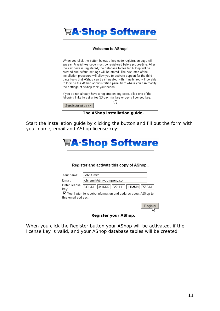

**The AShop installation guide.** 

Start the installation guide by clicking the button and fill out the form with your name, email and AShop license key:

|                       | <b>冒A·Shop Software</b><br>Register and activate this copy of AShop |
|-----------------------|---------------------------------------------------------------------|
| Your name:            | lJohn Smith                                                         |
| Email:                | johnsmith@mycompany.com                                             |
| Enter license<br>key: | 333JJJ 444KKK 222LLL 111MMM 5555JJJ                                 |
| this email address.   | ☑ Yes! I wish to receive information and updates about AShop to     |
|                       | Registe                                                             |

**Register your AShop.** 

When you click the Register button your AShop will be activated, if the license key is valid, and your AShop database tables will be created.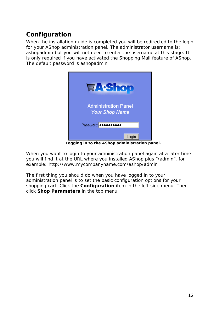## **Configuration**

When the installation guide is completed you will be redirected to the login for your AShop administration panel. The administrator username is: *ashopadmin* but you will not need to enter the username at this stage. It is only required if you have activated the Shopping Mall feature of AShop. The default password is *ashopadmin*



**Logging in to the AShop administration panel.** 

When you want to login to your administration panel again at a later time you will find it at the URL where you installed AShop plus "/admin", for example: http://www.mycompanyname.com/ashop/admin

The first thing you should do when you have logged in to your administration panel is to set the basic configuration options for your shopping cart. Click the **Configuration** item in the left side menu. Then click **Shop Parameters** in the top menu.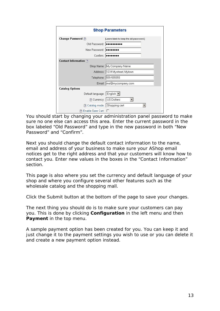| <b>Shop Parameters</b>        |                                         |  |  |  |  |  |  |
|-------------------------------|-----------------------------------------|--|--|--|--|--|--|
| Change Password ?             | [Leave blank to keep the old password.] |  |  |  |  |  |  |
| Old Password:   eeessesses    |                                         |  |  |  |  |  |  |
| New Password:   essesses      |                                         |  |  |  |  |  |  |
|                               | Confirm:   <b></b>                      |  |  |  |  |  |  |
| Contact Information ?         |                                         |  |  |  |  |  |  |
|                               | Shop Name: My Company Name              |  |  |  |  |  |  |
|                               | Address: 1234 Mystreet, Mytown          |  |  |  |  |  |  |
|                               | Telephone: 555-555555                   |  |  |  |  |  |  |
|                               | Email:  me@mycompany.com                |  |  |  |  |  |  |
| <b>Catalog Options</b>        |                                         |  |  |  |  |  |  |
| Default language: English     |                                         |  |  |  |  |  |  |
|                               | 2 Currency: US Dollars                  |  |  |  |  |  |  |
| ? Catalog mode: Shopping cart |                                         |  |  |  |  |  |  |
| ? Enable Save Cart: □         |                                         |  |  |  |  |  |  |

You should start by changing your administration panel password to make sure no one else can access this area. Enter the current password in the box labeled "Old Password" and type in the new password in both "New Password" and "Confirm".

Next you should change the default contact information to the name, email and address of your business to make sure your AShop email notices get to the right address and that your customers will know how to contact you. Enter new values in the boxes in the "Contact Information" section.

This page is also where you set the currency and default language of your shop and where you configure several other features such as the wholesale catalog and the shopping mall.

Click the Submit button at the bottom of the page to save your changes.

The next thing you should do is to make sure your customers can pay you. This is done by clicking **Configuration** in the left menu and then **Payment** in the top menu.

A sample payment option has been created for you. You can keep it and just change it to the payment settings you wish to use or you can delete it and create a new payment option instead.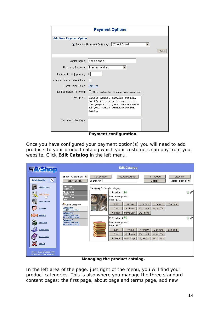| <b>Payment Options</b>             |                                                                                                                                             |  |     |  |  |  |
|------------------------------------|---------------------------------------------------------------------------------------------------------------------------------------------|--|-----|--|--|--|
| <b>Add New Payment Option</b>      |                                                                                                                                             |  |     |  |  |  |
|                                    | ? Select a Payment Gateway: 2CheckOutv2                                                                                                     |  |     |  |  |  |
|                                    |                                                                                                                                             |  | Add |  |  |  |
|                                    |                                                                                                                                             |  |     |  |  |  |
|                                    | Option name: Send a check                                                                                                                   |  |     |  |  |  |
| Payment Gateway:   Manual handling |                                                                                                                                             |  |     |  |  |  |
| Payment Fee [optional]: \$         |                                                                                                                                             |  |     |  |  |  |
| Onlγ visible in Sales Office:      |                                                                                                                                             |  |     |  |  |  |
| Extra Form Fields: Edit List       |                                                                                                                                             |  |     |  |  |  |
| Deliver Before Payment:            | □ [Allow file download before payment is processed.]                                                                                        |  |     |  |  |  |
| Description:                       | Sample manual payment option.<br>Modify this payment option on<br>the page Configuration->Payment<br>in your AShop administration<br>panel. |  |     |  |  |  |
| Text On Order Page:                |                                                                                                                                             |  |     |  |  |  |
|                                    | Payment configuration.                                                                                                                      |  |     |  |  |  |

Once you have configured your payment option(s) you will need to add products to your product catalog which your customers can buy from your website. Click **Edit Catalog** in the left menu.

| <b>HA-Shop</b>                                                          |                                                                                                               |                             |                                                        | <b>Edit Catalog</b>                      |                                               |                                            |                                        |         |
|-------------------------------------------------------------------------|---------------------------------------------------------------------------------------------------------------|-----------------------------|--------------------------------------------------------|------------------------------------------|-----------------------------------------------|--------------------------------------------|----------------------------------------|---------|
| ×.<br><b>Administration</b>                                             | Show: All products<br>New category                                                                            | New product<br>Search for:  |                                                        | New subscription                         |                                               | New content<br>Search                      | <b>Discounts</b><br>Reorder products * |         |
| Configuration<br>具<br><b>Edit Catalog</b>                               | <b>First Page</b><br>[Edit] [Remove]<br><b>About Page</b><br>[Edit] [Remove]<br><b>Terms Page</b><br>[Add]    | Category 1: Sample category | 1: Product 1 0m<br>An example product<br>Price: \$2.00 |                                          |                                               |                                            |                                        | $1 - 0$ |
| View Catalog<br>Members<br><b>Affiliates</b>                            | Select Category<br><b>Category 1</b><br>[Edit] [Remove] [Html]<br><b>Category 2</b><br>[Edit] [Remove] [Html] |                             | Edit<br>Files.<br>Update                               | Remove<br>Attributes<br>Move/Copy        | Inventory<br>Fulfilment<br>Qty Pricing        | <b>Discount</b><br>Make HTML               | Shipping                               |         |
| Customers                                                               | Move up]Move to top]<br>Category 3<br>[Edit] [Remove] [Html]<br>Move up]Move to top]                          |                             | 2: Product 2 Ps<br>An example product<br>Price: \$3.00 |                                          |                                               |                                            |                                        | 100     |
| <b>Sales Office</b><br><b>Online Help</b>                               |                                                                                                               |                             | Edit<br><b>Files</b><br>Update                         | Remove<br><b>Attributes</b><br>Move/Copy | Inventory<br>Fulfilment<br><b>Qty Pricing</b> | <b>Discount</b><br>Make HTML<br>$Up$ $Top$ | Shipping                               |         |
| Log out<br>AShop - Copyright 2002-2009<br>All Rights Reserved Worldwide |                                                                                                               |                             |                                                        |                                          |                                               |                                            |                                        |         |

**Managing the product catalog.** 

In the left area of the page, just right of the menu, you will find your product categories. This is also where you manage the three standard content pages: the first page, about page and terms page, add new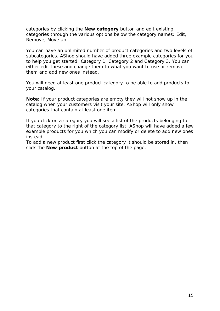categories by clicking the **New category** button and edit existing categories through the various options below the category names: Edit, Remove, Move up…

You can have an unlimited number of product categories and two levels of subcategories. AShop should have added three example categories for you to help you get started: Category 1, Category 2 and Category 3. You can either edit these and change them to what you want to use or remove them and add new ones instead.

You will need at least one product category to be able to add products to your catalog.

**Note:** If your product categories are empty they will not show up in the catalog when your customers visit your site. AShop will only show categories that contain at least one item.

If you click on a category you will see a list of the products belonging to that category to the right of the category list. AShop will have added a few example products for you which you can modify or delete to add new ones instead.

To add a new product first click the category it should be stored in, then click the **New product** button at the top of the page.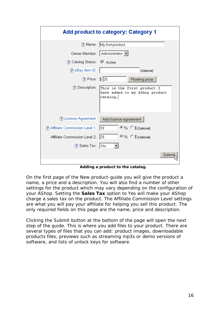| Add product to category: Category 1 |                                                                           |  |  |  |
|-------------------------------------|---------------------------------------------------------------------------|--|--|--|
| ?) Name:                            | My first product                                                          |  |  |  |
|                                     | Owner Member:   Administrator ▼                                           |  |  |  |
| ? Catalog Status:                   | $\triangledown$ Active                                                    |  |  |  |
| ?) eBay Item ID:                    | [Optional]                                                                |  |  |  |
| ? Price: \$ 25                      | Floating price                                                            |  |  |  |
| ? Description:                      | This is the first product I<br>have added to my AShop product<br>catalog. |  |  |  |
| ? License Agreement:                | Add license agreement                                                     |  |  |  |
| ? Affiliate Commission Level 1:     | ©% C \$ [Optional]<br>10                                                  |  |  |  |
| Affiliate Commission Level 2:       | ©% C \$ [Optional]<br> 20                                                 |  |  |  |
| ?) Sales Tax:                       | No                                                                        |  |  |  |
|                                     | Subr                                                                      |  |  |  |

**Adding a product to the catalog.** 

On the first page of the New product-guide you will give the product a name, a price and a description. You will also find a number of other settings for the product which may vary depending on the configuration of your AShop. Setting the **Sales Tax** option to *Yes* will make your AShop charge a sales tax on the product. The Affiliate Commission Level settings are what you will pay your affiliate for helping you sell this product. The only required fields on this page are the name, price and description.

Clicking the Submit button at the bottom of the page will open the next step of the guide. This is where you add files to your product. There are several types of files that you can add: product images, downloadable products files, previews such as streaming mp3s or demo versions of software, and lists of unlock keys for software.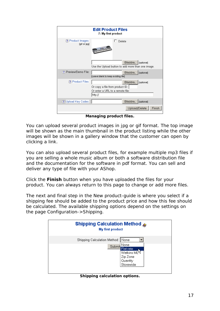| <b>Edit Product Files</b><br>7: My first product |                                                                                                         |  |  |  |
|--------------------------------------------------|---------------------------------------------------------------------------------------------------------|--|--|--|
| ? Product Images:<br>[gif or jpg]                | Delete                                                                                                  |  |  |  |
|                                                  | Bläddra<br>[optional]<br>Use the Upload button to add more than one image.                              |  |  |  |
| ? Preview/Demo File:                             | Bläddra<br>[optional]<br>[Leave blank to keep existing file]                                            |  |  |  |
| ? Product Files:                                 | Bläddra<br>[optional]<br>Or copy a file from product ID:<br>Or enter a URL to a remote file:<br>http:// |  |  |  |
| ? Upload Key Codes:                              | Bläddra<br>[optional]                                                                                   |  |  |  |
|                                                  | Upload/Delete<br>Finish                                                                                 |  |  |  |

**Managing product files.** 

You can upload several product images in jpg or gif format. The top image will be shown as the main thumbnail in the product listing while the other images will be shown in a gallery window that the customer can open by clicking a link.

You can also upload several product files, for example multiple mp3 files if you are selling a whole music album or both a software distribution file and the documentation for the software in pdf format. You can sell and deliver any type of file with your AShop.

Click the **Finish** button when you have uploaded the files for your product. You can always return to this page to change or add more files.

The next and final step in the New product-guide is where you select if a shipping fee should be added to the product price and how this fee should be calculated. The available shipping options depend on the settings on the page Configuration->Shipping.

| Shipping Calculation Method ®<br>My first product |                                                                                   |  |  |
|---------------------------------------------------|-----------------------------------------------------------------------------------|--|--|
| Shipping Calculation Method: None<br>Submit       | None<br>Flat rate<br>Watkins ML <sup>K</sup><br>Zip Zone<br>Quantity<br>Storewide |  |  |

**Shipping calculation options.**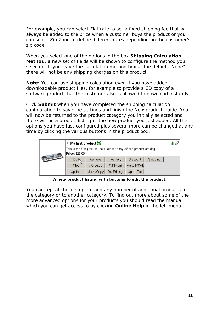For example, you can select *Flat rate* to set a fixed shipping fee that will always be added to the price when a customer buys the product or you can select *Zip Zone* to define different rates depending on the customer's zip code.

When you select one of the options in the box **Shipping Calculation Method**, a new set of fields will be shown to configure the method you selected. If you leave the calculation method box at the default "None" there will not be any shipping charges on this product.

**Note:** You can use shipping calculation even if you have added downloadable product files, for example to provide a CD copy of a software product that the customer also is allowed to download instantly.

Click **Submit** when you have completed the shipping calculation configuration to save the settings and finish the New product-guide. You will now be returned to the product category you initially selected and there will be a product listing of the new product you just added. All the options you have just configured plus several more can be changed at any time by clicking the various buttons in the product box.

|                            | 7: My first product <b>P</b>                                                          | ⇧⇗ |  |
|----------------------------|---------------------------------------------------------------------------------------|----|--|
|                            | This is the first product I have added to my AShop product catalog.<br>Price: \$25.00 |    |  |
| Ford of the Contraction of | Shipping<br>Edit <sub>N</sub><br><b>Discount</b><br>Inventory<br>Remove               |    |  |
|                            | W<br>Make HTML<br><b>Fulfilment</b><br><b>Files</b><br><b>Attributes</b>              |    |  |
|                            | Qty Pricing<br>Move/Copy<br>Top<br>Update<br>Up                                       |    |  |

**A new product listing with buttons to edit the product.** 

You can repeat these steps to add any number of additional products to the category or to another category. To find out more about some of the more advanced options for your products you should read the manual which you can get access to by clicking **Online Help** in the left menu.